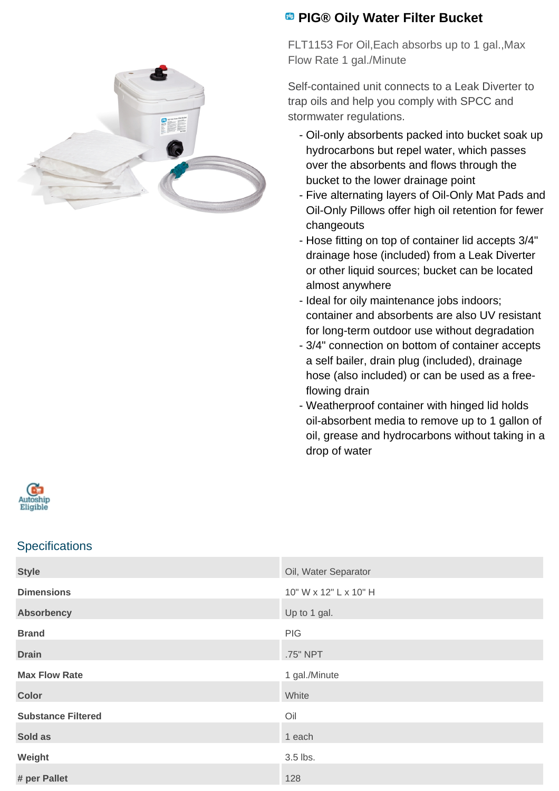

## **<sup><b>B</sup>** PIG® Oily Water Filter Bucket</sup>

FLT1153 For Oil,Each absorbs up to 1 gal.,Max Flow Rate 1 gal./Minute

Self-contained unit connects to a Leak Diverter to trap oils and help you comply with SPCC and stormwater regulations.

- Oil-only absorbents packed into bucket soak up hydrocarbons but repel water, which passes over the absorbents and flows through the bucket to the lower drainage point
- Five alternating layers of Oil-Only Mat Pads and Oil-Only Pillows offer high oil retention for fewer changeouts
- Hose fitting on top of container lid accepts 3/4" drainage hose (included) from a Leak Diverter or other liquid sources; bucket can be located almost anywhere
- Ideal for oily maintenance jobs indoors; container and absorbents are also UV resistant for long-term outdoor use without degradation
- 3/4" connection on bottom of container accepts a self bailer, drain plug (included), drainage hose (also included) or can be used as a freeflowing drain
- Weatherproof container with hinged lid holds oil-absorbent media to remove up to 1 gallon of oil, grease and hydrocarbons without taking in a drop of water



## **Specifications**

| <b>Style</b>              | Oil, Water Separator  |
|---------------------------|-----------------------|
| <b>Dimensions</b>         | 10" W x 12" L x 10" H |
| <b>Absorbency</b>         | Up to 1 gal.          |
| <b>Brand</b>              | PIG                   |
| <b>Drain</b>              | .75" NPT              |
| <b>Max Flow Rate</b>      | 1 gal./Minute         |
| <b>Color</b>              | White                 |
| <b>Substance Filtered</b> | Oil                   |
| Sold as                   | 1 each                |
| Weight                    | 3.5 lbs.              |
| # per Pallet              | 128                   |